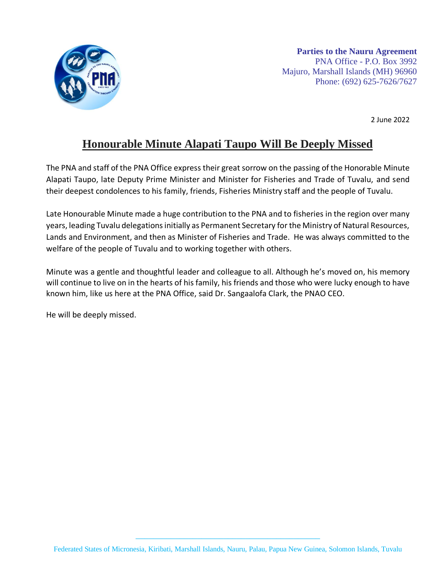

2 June 2022

## **Honourable Minute Alapati Taupo Will Be Deeply Missed**

The PNA and staff of the PNA Office express their great sorrow on the passing of the Honorable Minute Alapati Taupo, late Deputy Prime Minister and Minister for Fisheries and Trade of Tuvalu, and send their deepest condolences to his family, friends, Fisheries Ministry staff and the people of Tuvalu.

Late Honourable Minute made a huge contribution to the PNA and to fisheries in the region over many years, leading Tuvalu delegations initially as Permanent Secretary for the Ministry of Natural Resources, Lands and Environment, and then as Minister of Fisheries and Trade. He was always committed to the welfare of the people of Tuvalu and to working together with others.

Minute was a gentle and thoughtful leader and colleague to all. Although he's moved on, his memory will continue to live on in the hearts of his family, his friends and those who were lucky enough to have known him, like us here at the PNA Office, said Dr. Sangaalofa Clark, the PNAO CEO.

He will be deeply missed.